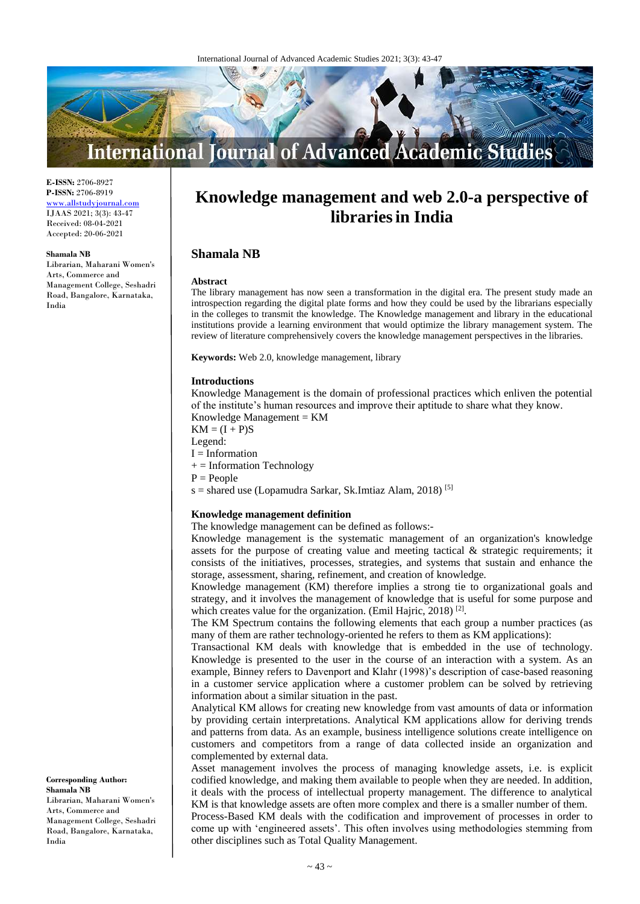

**E-ISSN:** 2706-8927 **P-ISSN:** 2706-8919 <www.allstudyjournal.com> IJAAS 2021; 3(3): 43-47 Received: 08-04-2021 Accepted: 20-06-2021

#### **Shamala NB**

Librarian, Maharani Women's Arts, Commerce and Management College, Seshadri Road, Bangalore, Karnataka, India

# **Knowledge management and web 2.0-a perspective of librariesin India**

## **Shamala NB**

#### **Abstract**

The library management has now seen a transformation in the digital era. The present study made an introspection regarding the digital plate forms and how they could be used by the librarians especially in the colleges to transmit the knowledge. The Knowledge management and library in the educational institutions provide a learning environment that would optimize the library management system. The review of literature comprehensively covers the knowledge management perspectives in the libraries.

**Keywords:** Web 2.0, knowledge management, library

#### **Introductions**

Knowledge Management is the domain of professional practices which enliven the potential of the institute's human resources and improve their aptitude to share what they know.

Knowledge Management = KM

 $KM = (I + P)S$ 

Legend:

 $I =$ Information

 $+=$  Information Technology

 $P = People$ 

s = shared use (Lopamudra Sarkar, Sk.Imtiaz Alam, 2018) [5]

#### **Knowledge management definition**

The knowledge management can be defined as follows:-

Knowledge management is the systematic management of an organization's knowledge assets for the purpose of creating value and meeting tactical  $\&$  strategic requirements; it consists of the initiatives, processes, strategies, and systems that sustain and enhance the storage, assessment, sharing, refinement, and creation of knowledge*.* 

Knowledge management (KM) therefore implies a strong tie to organizational goals and strategy, and it involves the management of knowledge that is useful for some purpose and which creates value for the organization. (Emil Hajric, 2018)<sup>[2]</sup>.

The KM Spectrum contains the following elements that each group a number practices (as many of them are rather technology-oriented he refers to them as KM applications):

Transactional KM deals with knowledge that is embedded in the use of technology. Knowledge is presented to the user in the course of an interaction with a system. As an example, Binney refers to Davenport and Klahr (1998)'s description of case-based reasoning in a customer service application where a customer problem can be solved by retrieving information about a similar situation in the past.

Analytical KM allows for creating new knowledge from vast amounts of data or information by providing certain interpretations. Analytical KM applications allow for deriving trends and patterns from data. As an example, business intelligence solutions create intelligence on customers and competitors from a range of data collected inside an organization and complemented by external data.

Asset management involves the process of managing knowledge assets, i.e. is explicit codified knowledge, and making them available to people when they are needed. In addition, it deals with the process of intellectual property management. The difference to analytical KM is that knowledge assets are often more complex and there is a smaller number of them.

Process-Based KM deals with the codification and improvement of processes in order to come up with 'engineered assets'. This often involves using methodologies stemming from other disciplines such as Total Quality Management.

**Corresponding Author: Shamala NB** Librarian, Maharani Women's Arts, Commerce and Management College, Seshadri Road, Bangalore, Karnataka, India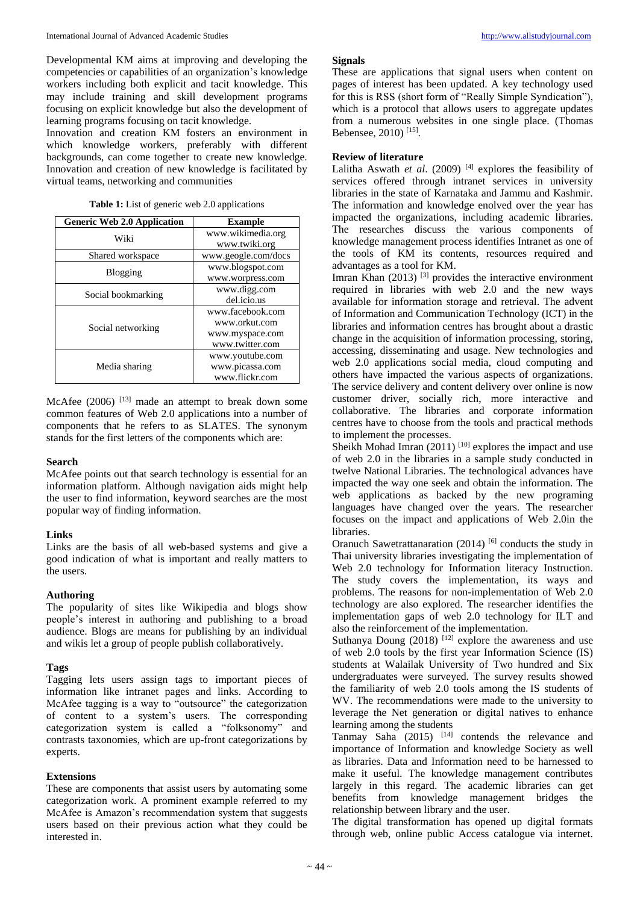Developmental KM aims at improving and developing the competencies or capabilities of an organization's knowledge workers including both explicit and tacit knowledge. This may include training and skill development programs focusing on explicit knowledge but also the development of learning programs focusing on tacit knowledge.

Innovation and creation KM fosters an environment in which knowledge workers, preferably with different backgrounds, can come together to create new knowledge. Innovation and creation of new knowledge is facilitated by virtual teams, networking and communities

| Table 1: List of generic web 2.0 applications |  |
|-----------------------------------------------|--|
|-----------------------------------------------|--|

| <b>Generic Web 2.0 Application</b> | <b>Example</b>      |
|------------------------------------|---------------------|
| Wiki                               | www.wikimedia.org   |
|                                    | www.twiki.org       |
| Shared workspace                   | www.geogle.com/docs |
| Blogging                           | www.blogspot.com    |
|                                    | www.worpress.com    |
| Social bookmarking                 | www.digg.com        |
|                                    | del.icio.us         |
| Social networking                  | www.facebook.com    |
|                                    | www.orkut.com       |
|                                    | www.myspace.com     |
|                                    | www.twitter.com     |
| Media sharing                      | www.youtube.com     |
|                                    | www.picassa.com     |
|                                    | www.flickr.com      |

McAfee (2006) <sup>[13]</sup> made an attempt to break down some common features of Web 2.0 applications into a number of components that he refers to as SLATES. The synonym stands for the first letters of the components which are:

## **Search**

McAfee points out that search technology is essential for an information platform. Although navigation aids might help the user to find information, keyword searches are the most popular way of finding information.

## **Links**

Links are the basis of all web-based systems and give a good indication of what is important and really matters to the users.

## **Authoring**

The popularity of sites like Wikipedia and blogs show people's interest in authoring and publishing to a broad audience. Blogs are means for publishing by an individual and wikis let a group of people publish collaboratively.

## **Tags**

Tagging lets users assign tags to important pieces of information like intranet pages and links. According to McAfee tagging is a way to "outsource" the categorization of content to a system's users. The corresponding categorization system is called a "folksonomy" and contrasts taxonomies, which are up-front categorizations by experts.

## **Extensions**

These are components that assist users by automating some categorization work. A prominent example referred to my McAfee is Amazon's recommendation system that suggests users based on their previous action what they could be interested in.

#### **Signals**

These are applications that signal users when content on pages of interest has been updated. A key technology used for this is RSS (short form of "Really Simple Syndication"), which is a protocol that allows users to aggregate updates from a numerous websites in one single place. (Thomas Bebensee, 2010) [15] .

## **Review of literature**

Lalitha Aswath *et al.* (2009)<sup>[4]</sup> explores the feasibility of services offered through intranet services in university libraries in the state of Karnataka and Jammu and Kashmir. The information and knowledge enolved over the year has impacted the organizations, including academic libraries. The researches discuss the various components of knowledge management process identifies Intranet as one of the tools of KM its contents, resources required and advantages as a tool for KM.

Imran Khan  $(2013)$ <sup>[3]</sup> provides the interactive environment required in libraries with web 2.0 and the new ways available for information storage and retrieval. The advent of Information and Communication Technology (ICT) in the libraries and information centres has brought about a drastic change in the acquisition of information processing, storing, accessing, disseminating and usage. New technologies and web 2.0 applications social media, cloud computing and others have impacted the various aspects of organizations. The service delivery and content delivery over online is now customer driver, socially rich, more interactive and collaborative. The libraries and corporate information centres have to choose from the tools and practical methods to implement the processes.

Sheikh Mohad Imran  $(2011)$ <sup>[10]</sup> explores the impact and use of web 2.0 in the libraries in a sample study conducted in twelve National Libraries. The technological advances have impacted the way one seek and obtain the information. The web applications as backed by the new programing languages have changed over the years. The researcher focuses on the impact and applications of Web 2.0in the libraries.

Oranuch Sawetrattanaration (2014)<sup>[6]</sup> conducts the study in Thai university libraries investigating the implementation of Web 2.0 technology for Information literacy Instruction. The study covers the implementation, its ways and problems. The reasons for non-implementation of Web 2.0 technology are also explored. The researcher identifies the implementation gaps of web 2.0 technology for ILT and also the reinforcement of the implementation.

Suthanya Doung  $(2018)$ <sup>[12]</sup> explore the awareness and use of web 2.0 tools by the first year Information Science (IS) students at Walailak University of Two hundred and Six undergraduates were surveyed. The survey results showed the familiarity of web 2.0 tools among the IS students of WV. The recommendations were made to the university to leverage the Net generation or digital natives to enhance learning among the students

Tanmay Saha  $(2015)$ <sup>[14]</sup> contends the relevance and importance of Information and knowledge Society as well as libraries. Data and Information need to be harnessed to make it useful. The knowledge management contributes largely in this regard. The academic libraries can get benefits from knowledge management bridges the relationship between library and the user.

The digital transformation has opened up digital formats through web, online public Access catalogue via internet.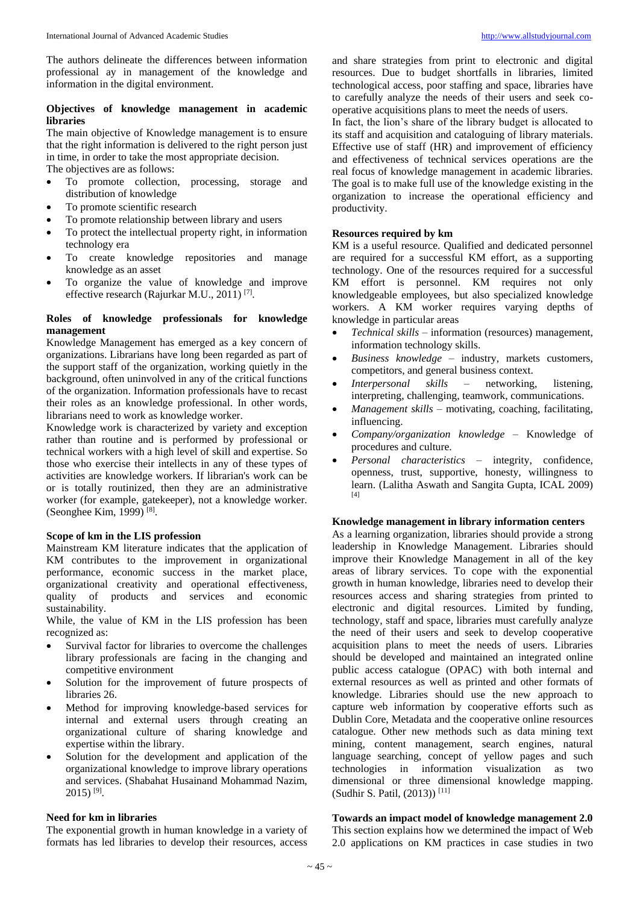The authors delineate the differences between information professional ay in management of the knowledge and information in the digital environment.

## **Objectives of knowledge management in academic libraries**

The main objective of Knowledge management is to ensure that the right information is delivered to the right person just in time, in order to take the most appropriate decision. The objectives are as follows:

- To promote collection, processing, storage and distribution of knowledge
- To promote scientific research
- To promote relationship between library and users
- To protect the intellectual property right, in information technology era
- To create knowledge repositories and manage knowledge as an asset
- To organize the value of knowledge and improve effective research (Rajurkar M.U., 2011)<sup>[7]</sup>.

## **Roles of knowledge professionals for knowledge management**

Knowledge Management has emerged as a key concern of organizations. Librarians have long been regarded as part of the support staff of the organization, working quietly in the background, often uninvolved in any of the critical functions of the organization. Information professionals have to recast their roles as an knowledge professional. In other words, librarians need to work as knowledge worker.

Knowledge work is characterized by variety and exception rather than routine and is performed by professional or technical workers with a high level of skill and expertise. So those who exercise their intellects in any of these types of activities are knowledge workers. If librarian's work can be or is totally routinized, then they are an administrative worker (for example, gatekeeper), not a knowledge worker. (Seonghee Kim, 1999)<sup>[8]</sup>.

## **Scope of km in the LIS profession**

Mainstream KM literature indicates that the application of KM contributes to the improvement in organizational performance, economic success in the market place, organizational creativity and operational effectiveness, quality of products and services and economic sustainability.

While, the value of KM in the LIS profession has been recognized as:

- Survival factor for libraries to overcome the challenges library professionals are facing in the changing and competitive environment
- Solution for the improvement of future prospects of libraries 26.
- Method for improving knowledge-based services for internal and external users through creating an organizational culture of sharing knowledge and expertise within the library.
- Solution for the development and application of the organizational knowledge to improve library operations and services. (Shabahat Husainand Mohammad Nazim,  $2015)$   $^{[9]}$ .

## **Need for km in libraries**

The exponential growth in human knowledge in a variety of formats has led libraries to develop their resources, access

and share strategies from print to electronic and digital resources. Due to budget shortfalls in libraries, limited technological access, poor staffing and space, libraries have to carefully analyze the needs of their users and seek cooperative acquisitions plans to meet the needs of users.

In fact, the lion's share of the library budget is allocated to its staff and acquisition and cataloguing of library materials. Effective use of staff (HR) and improvement of efficiency and effectiveness of technical services operations are the real focus of knowledge management in academic libraries. The goal is to make full use of the knowledge existing in the organization to increase the operational efficiency and productivity.

## **Resources required by km**

KM is a useful resource. Qualified and dedicated personnel are required for a successful KM effort, as a supporting technology. One of the resources required for a successful KM effort is personnel. KM requires not only knowledgeable employees, but also specialized knowledge workers. A KM worker requires varying depths of knowledge in particular areas

- *Technical skills*  information (resources) management, information technology skills.
- *Business knowledge*  industry, markets customers, competitors, and general business context.
- *Interpersonal skills*  networking, listening, interpreting, challenging, teamwork, communications.
- *Management skills*  motivating, coaching, facilitating, influencing.
- *Company/organization knowledge*  Knowledge of procedures and culture.
- *Personal characteristics*  integrity, confidence, openness, trust, supportive, honesty, willingness to learn. (Lalitha Aswath and Sangita Gupta, ICAL 2009) [4]

## **Knowledge management in library information centers**

As a learning organization, libraries should provide a strong leadership in Knowledge Management. Libraries should improve their Knowledge Management in all of the key areas of library services. To cope with the exponential growth in human knowledge, libraries need to develop their resources access and sharing strategies from printed to electronic and digital resources. Limited by funding, technology, staff and space, libraries must carefully analyze the need of their users and seek to develop cooperative acquisition plans to meet the needs of users. Libraries should be developed and maintained an integrated online public access catalogue (OPAC) with both internal and external resources as well as printed and other formats of knowledge. Libraries should use the new approach to capture web information by cooperative efforts such as Dublin Core, Metadata and the cooperative online resources catalogue. Other new methods such as data mining text mining, content management, search engines, natural language searching, concept of yellow pages and such technologies in information visualization as two dimensional or three dimensional knowledge mapping. (Sudhir S. Patil, (2013)) [11]

# **Towards an impact model of knowledge management 2.0**

This section explains how we determined the impact of Web 2.0 applications on KM practices in case studies in two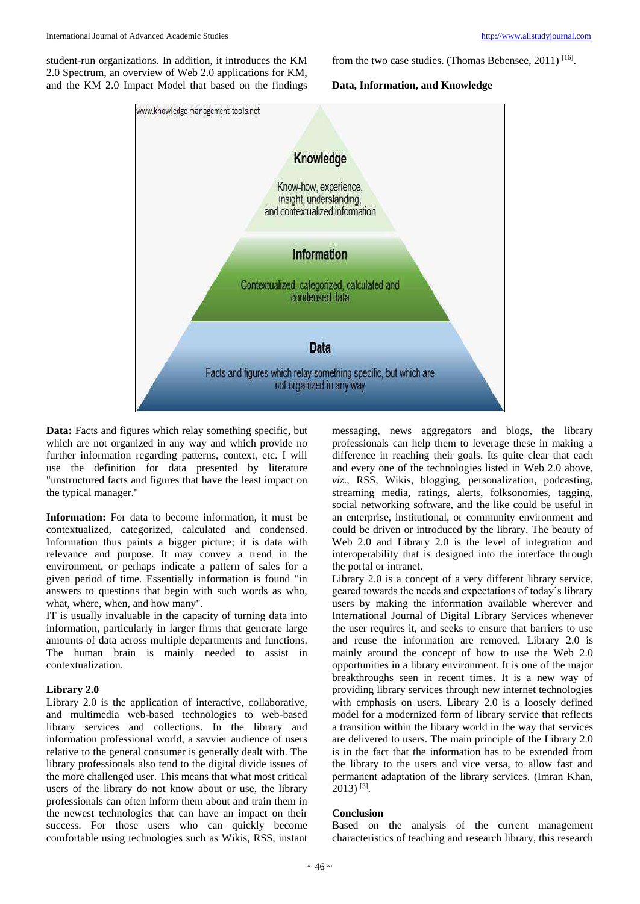student-run organizations. In addition, it introduces the KM 2.0 Spectrum, an overview of Web 2.0 applications for KM, and the KM 2.0 Impact Model that based on the findings from the two case studies. (Thomas Bebensee, 2011)<sup>[16]</sup>.

## **Data, Information, and Knowledge**



Data: Facts and figures which relay something specific, but which are not organized in any way and which provide no further information regarding patterns, context, etc. I will use the definition for data presented by literature "unstructured facts and figures that have the least impact on the typical manager."

**Information:** For data to become information, it must be contextualized, categorized, calculated and condensed. Information thus paints a bigger picture; it is data with relevance and purpose. It may convey a trend in the environment, or perhaps indicate a pattern of sales for a given period of time. Essentially information is found "in answers to questions that begin with such words as who, what, where, when, and how many".

IT is usually invaluable in the capacity of turning data into information, particularly in larger firms that generate large amounts of data across multiple departments and functions. The human brain is mainly needed to assist in contextualization.

## **Library 2.0**

Library 2.0 is the application of interactive, collaborative, and multimedia web-based technologies to web-based library services and collections. In the library and information professional world, a savvier audience of users relative to the general consumer is generally dealt with. The library professionals also tend to the digital divide issues of the more challenged user. This means that what most critical users of the library do not know about or use, the library professionals can often inform them about and train them in the newest technologies that can have an impact on their success. For those users who can quickly become comfortable using technologies such as Wikis, RSS, instant

messaging, news aggregators and blogs, the library professionals can help them to leverage these in making a difference in reaching their goals. Its quite clear that each and every one of the technologies listed in Web 2.0 above, *viz*., RSS, Wikis, blogging, personalization, podcasting, streaming media, ratings, alerts, folksonomies, tagging, social networking software, and the like could be useful in an enterprise, institutional, or community environment and could be driven or introduced by the library. The beauty of Web 2.0 and Library 2.0 is the level of integration and interoperability that is designed into the interface through the portal or intranet.

Library 2.0 is a concept of a very different library service, geared towards the needs and expectations of today's library users by making the information available wherever and International Journal of Digital Library Services whenever the user requires it, and seeks to ensure that barriers to use and reuse the information are removed. Library 2.0 is mainly around the concept of how to use the Web 2.0 opportunities in a library environment. It is one of the major breakthroughs seen in recent times. It is a new way of providing library services through new internet technologies with emphasis on users. Library 2.0 is a loosely defined model for a modernized form of library service that reflects a transition within the library world in the way that services are delivered to users. The main principle of the Library 2.0 is in the fact that the information has to be extended from the library to the users and vice versa, to allow fast and permanent adaptation of the library services. (Imran Khan, 2013) [3] .

## **Conclusion**

Based on the analysis of the current management characteristics of teaching and research library, this research